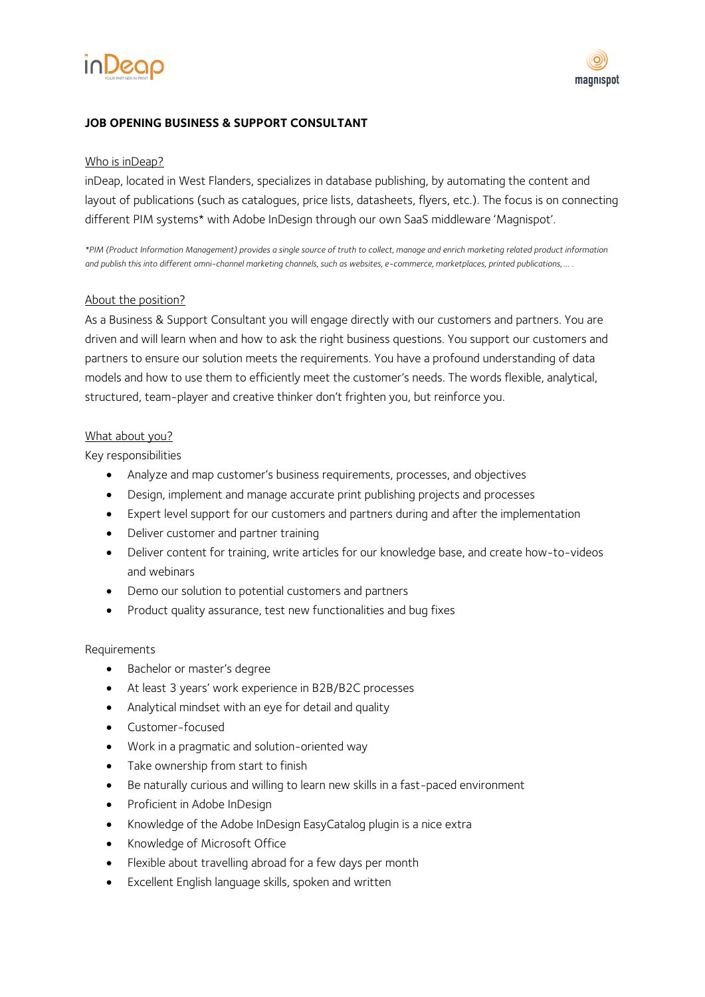



# **JOB OPENING BUSINESS & SUPPORT CONSULTANT**

## Who is inDeap?

inDeap, located in West Flanders, specializes in database publishing, by automating the content and layout of publications (such as catalogues, price lists, datasheets, flyers, etc.). The focus is on connecting different PIM systems\* with Adobe InDesign through our own SaaS middleware 'Magnispot'.

*\*PIM (Product Information Management) provides a single source of truth to collect, manage and enrich marketing related product information and publish this into different omni-channel marketing channels, such as websites, e-commerce, marketplaces, printed publications, … .*

#### About the position?

As a Business & Support Consultant you will engage directly with our customers and partners. You are driven and will learn when and how to ask the right business questions. You support our customers and partners to ensure our solution meets the requirements. You have a profound understanding of data models and how to use them to efficiently meet the customer's needs. The words flexible, analytical, structured, team-player and creative thinker don't frighten you, but reinforce you.

## What about you?

Key responsibilities

- Analyze and map customer's business requirements, processes, and objectives
- Design, implement and manage accurate print publishing projects and processes
- Expert level support for our customers and partners during and after the implementation
- Deliver customer and partner training
- Deliver content for training, write articles for our knowledge base, and create how-to-videos and webinars
- Demo our solution to potential customers and partners
- Product quality assurance, test new functionalities and bug fixes

#### Requirements

- Bachelor or master's degree
- At least 3 years' work experience in B2B/B2C processes
- Analytical mindset with an eye for detail and quality
- Customer-focused
- Work in a pragmatic and solution-oriented way
- Take ownership from start to finish
- Be naturally curious and willing to learn new skills in a fast-paced environment
- Proficient in Adobe InDesign
- Knowledge of the Adobe InDesign EasyCatalog plugin is a nice extra
- Knowledge of Microsoft Office
- Flexible about travelling abroad for a few days per month
- Excellent English language skills, spoken and written